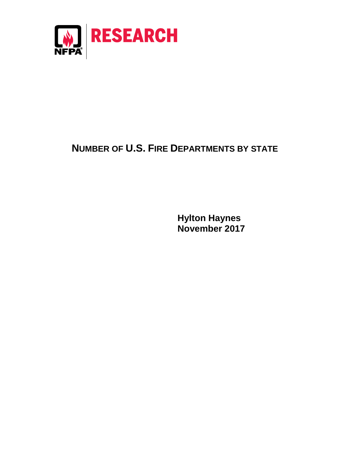

## **NUMBER OF U.S. FIRE DEPARTMENTS BY STATE**

**Hylton Haynes November 2017**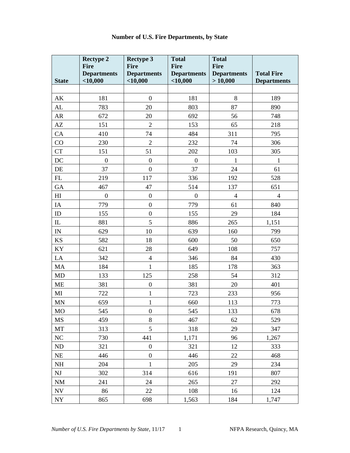|               | <b>Rectype 2</b><br><b>Fire</b>  | <b>Rectype 3</b><br><b>Fire</b>  | <b>Total</b><br><b>Fire</b>      | <b>Total</b><br>Fire          |                                         |
|---------------|----------------------------------|----------------------------------|----------------------------------|-------------------------------|-----------------------------------------|
| <b>State</b>  | <b>Departments</b><br>$<$ 10,000 | <b>Departments</b><br>$<$ 10,000 | <b>Departments</b><br>$<$ 10,000 | <b>Departments</b><br>>10,000 | <b>Total Fire</b><br><b>Departments</b> |
|               |                                  |                                  |                                  |                               |                                         |
| AK            | 181                              | $\boldsymbol{0}$                 | 181                              | 8                             | 189                                     |
| AL            | 783                              | 20                               | 803                              | 87                            | 890                                     |
| AR            | 672                              | 20                               | 692                              | 56                            | 748                                     |
| AZ            | 151                              | $\overline{2}$                   | 153                              | 65                            | 218                                     |
| CA            | 410                              | 74                               | 484                              | 311                           | 795                                     |
| CO            | 230                              | $\overline{2}$                   | 232                              | 74                            | 306                                     |
| CT            | 151                              | 51                               | 202                              | 103                           | 305                                     |
| DC            | $\boldsymbol{0}$                 | $\boldsymbol{0}$                 | $\boldsymbol{0}$                 | $\mathbf{1}$                  | $\mathbf{1}$                            |
| DE            | 37                               | $\boldsymbol{0}$                 | 37                               | 24                            | 61                                      |
| FL            | 219                              | 117                              | 336                              | 192                           | 528                                     |
| GA            | 467                              | 47                               | 514                              | 137                           | 651                                     |
| H             | $\boldsymbol{0}$                 | $\boldsymbol{0}$                 | $\boldsymbol{0}$                 | $\overline{4}$                | $\overline{4}$                          |
| IA            | 779                              | $\boldsymbol{0}$                 | 779                              | 61                            | 840                                     |
| ID            | 155                              | $\boldsymbol{0}$                 | 155                              | 29                            | 184                                     |
| $\rm IL$      | 881                              | 5                                | 886                              | 265                           | 1,151                                   |
| $\mathbf{IN}$ | 629                              | 10                               | 639                              | 160                           | 799                                     |
| KS            | 582                              | 18                               | 600                              | 50                            | 650                                     |
| KY            | 621                              | 28                               | 649                              | 108                           | 757                                     |
| LA            | 342                              | $\overline{4}$                   | 346                              | 84                            | 430                                     |
| MA            | 184                              | $\mathbf{1}$                     | 185                              | 178                           | 363                                     |
| MD            | 133                              | 125                              | 258                              | 54                            | 312                                     |
| ME            | 381                              | $\boldsymbol{0}$                 | 381                              | 20                            | 401                                     |
| MI            | 722                              | $\mathbf{1}$                     | 723                              | 233                           | 956                                     |
| MN            | 659                              | $\mathbf{1}$                     | 660                              | 113                           | 773                                     |
| MO            | 545                              | $\boldsymbol{0}$                 | 545                              | 133                           | 678                                     |
| MS            | 459                              | 8                                | 467                              | 62                            | 529                                     |
| MT            | 313                              | 5                                | 318                              | 29                            | 347                                     |
| $\rm NC$      | 730                              | 441                              | 1,171                            | 96                            | 1,267                                   |
| ND            | 321                              | $\boldsymbol{0}$                 | 321                              | 12                            | 333                                     |
| NE            | 446                              | $\boldsymbol{0}$                 | 446                              | 22                            | 468                                     |
| NH            | 204                              | 1                                | 205                              | 29                            | 234                                     |
| NJ            | 302                              | 314                              | 616                              | 191                           | 807                                     |
| <b>NM</b>     | 241                              | 24                               | 265                              | 27                            | 292                                     |
| NV            | 86                               | 22                               | 108                              | 16                            | 124                                     |
| <b>NY</b>     | 865                              | 698                              | 1,563                            | 184                           | 1,747                                   |

## **Number of U.S. Fire Departments, by State**